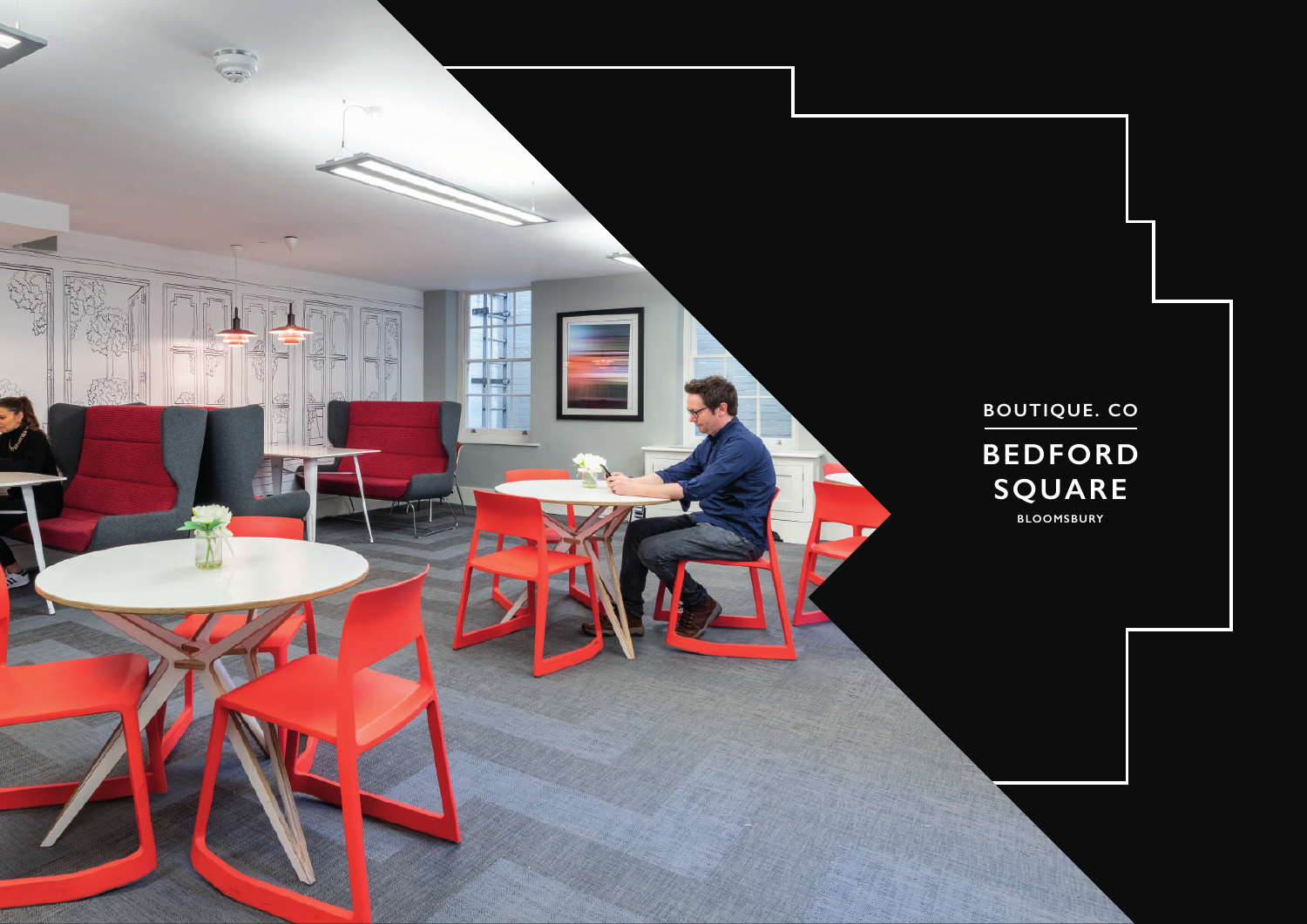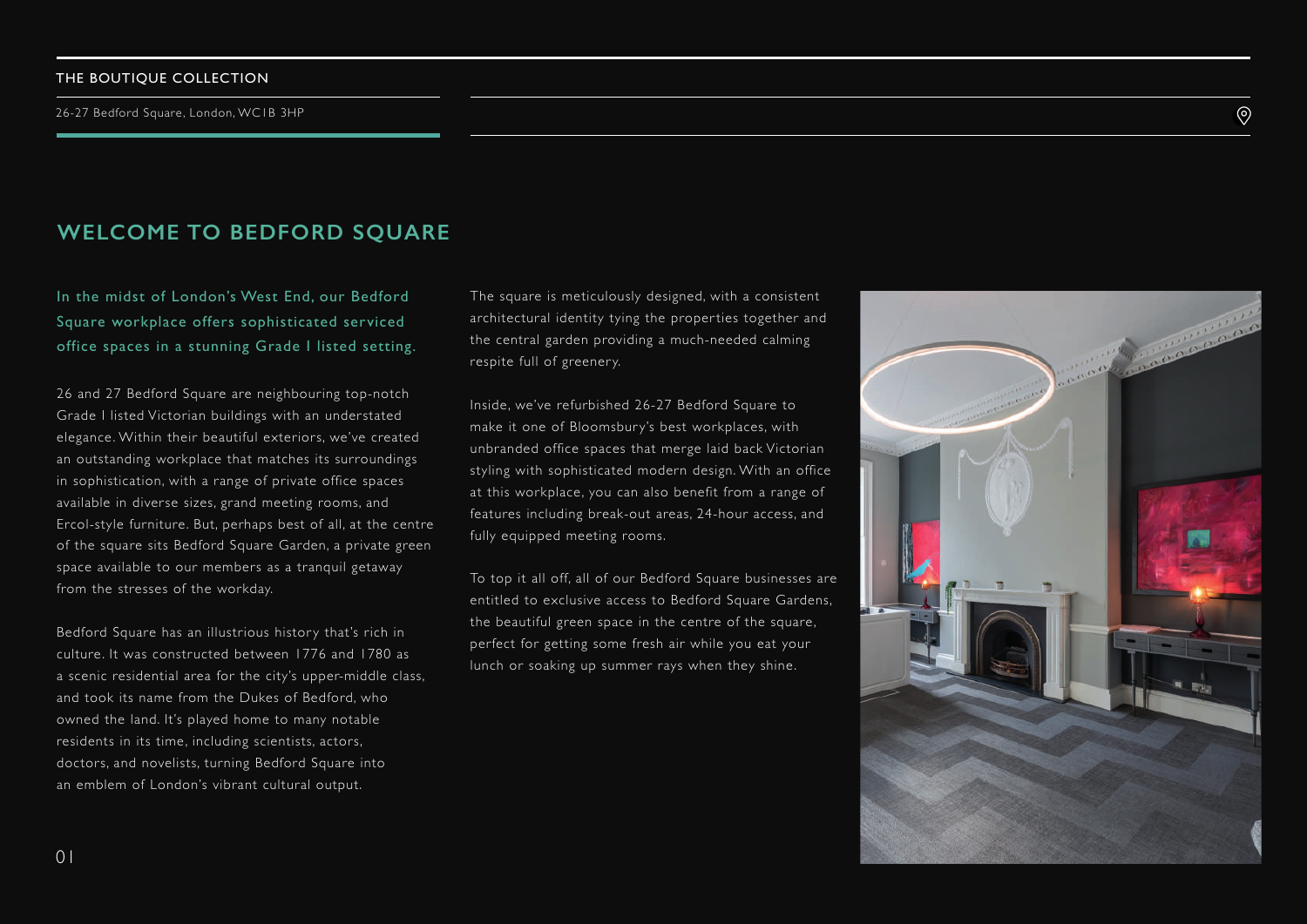#### THE BOUTIQUE COLLECTION

## **WELCOME TO BEDFORD SQUARE**

In the midst of London's West End, our Bedford Square workplace offers sophisticated serviced office spaces in a stunning Grade I listed setting.

26 and 27 Bedford Square are neighbouring top-notch Grade I listed Victorian buildings with an understated elegance. Within their beautiful exteriors, we've created an outstanding workplace that matches its surroundings in sophistication, with a range of private office spaces available in diverse sizes, grand meeting rooms, and Ercol-style furniture. But, perhaps best of all, at the centre of the square sits Bedford Square Garden, a private green space available to our members as a tranquil getaway from the stresses of the workday.

Bedford Square has an illustrious history that's rich in culture. It was constructed between 1776 and 1780 as a scenic residential area for the city's upper-middle class, and took its name from the Dukes of Bedford, who owned the land. It's played home to many notable residents in its time, including scientists, actors, doctors, and novelists, turning Bedford Square into an emblem of London's vibrant cultural output.

The square is meticulously designed, with a consistent architectural identity tying the properties together and the central garden providing a much-needed calming respite full of greenery.

Inside, we've refurbished 26-27 Bedford Square to make it one of Bloomsbury's best workplaces, with unbranded office spaces that merge laid back Victorian styling with sophisticated modern design. With an office at this workplace, you can also benefit from a range of features including break-out areas, 24-hour access, and fully equipped meeting rooms.

To top it all off, all of our Bedford Square businesses are entitled to exclusive access to Bedford Square Gardens, the beautiful green space in the centre of the square, perfect for getting some fresh air while you eat your lunch or soaking up summer rays when they shine.



 $\circledcirc$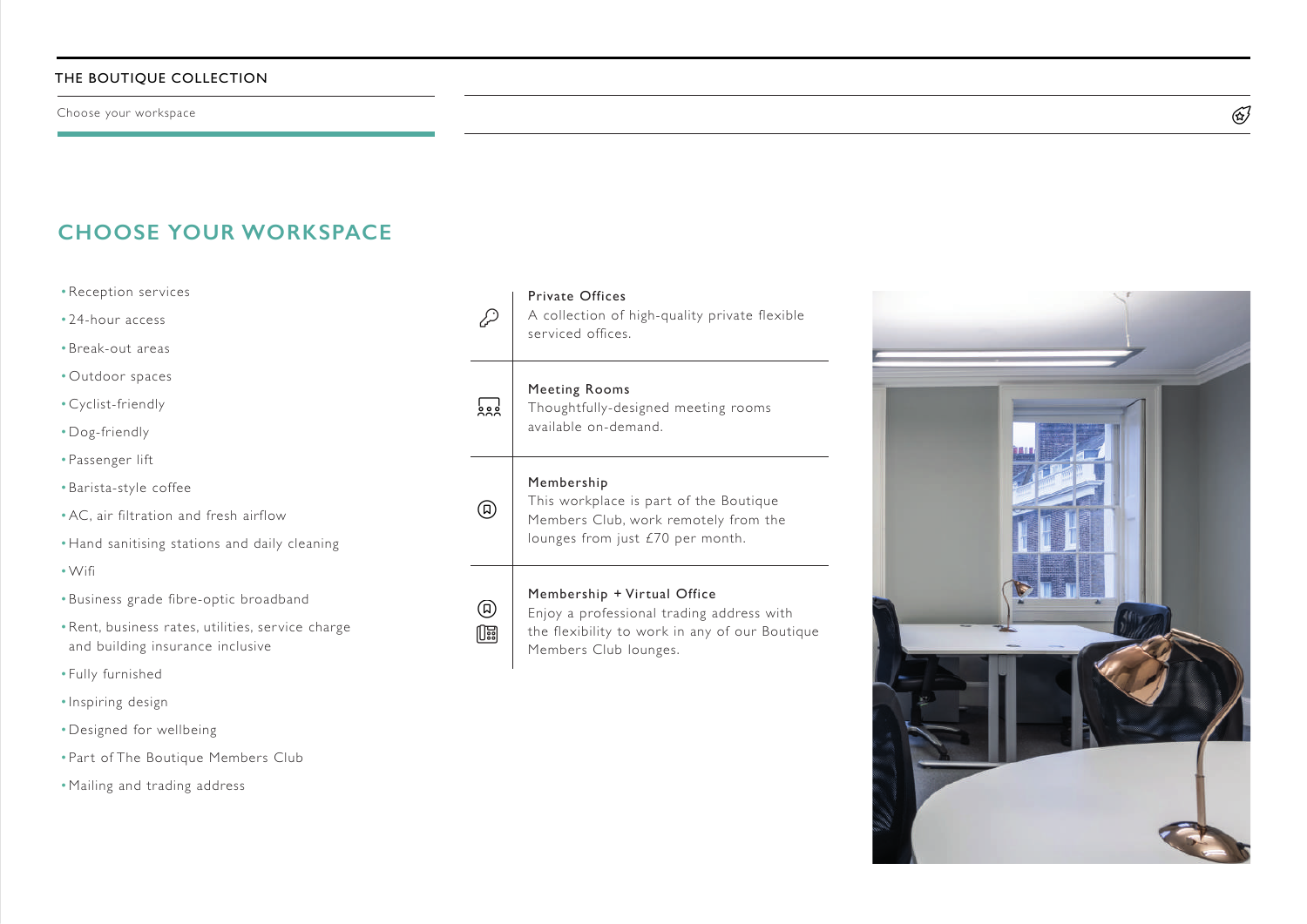Choose your workspace

# **CHOOSE YOUR WORKSPACE**

- •Reception services
- 24-hour access
- •Break-out areas
- •Outdoor spaces
- •Cyclist-friendly
- •Dog-friendly
- Passenger lift
- •Barista-style coffee
- •AC, air filtration and fresh airflow
- •Hand sanitising stations and daily cleaning
- •Wifi
- •Business grade fibre-optic broadband
- •Rent, business rates, utilities, ser vice charge and building insurance inclusive
- Fully furnished
- Inspiring design
- •Designed for wellbeing
- Part of The Boutique Members Club
- •Mailing and trading address

#### Private Offices

A collection of high-quality private flexible serviced offices.

### Meeting Rooms

Thoughtfully-designed meeting rooms available on-demand.

#### Membership

This workplace is part of the Boutique Members Club, work remotely from the lounges from just £70 per month.



 $\overline{\mathbf{S}}$ 

 $\mathcal{D}$ 

D

### Membership + Virtual Office

Enjoy a professional trading address with the flexibility to work in any of our Boutique Members Club lounges.